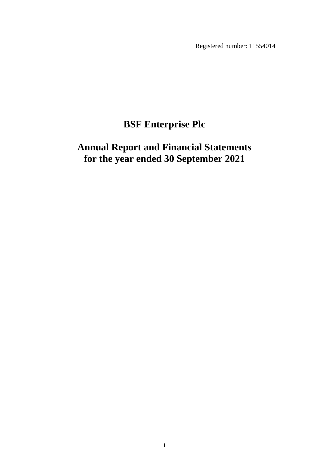Registered number: 11554014

# **BSF Enterprise Plc**

## **Annual Report and Financial Statements for the year ended 30 September 2021**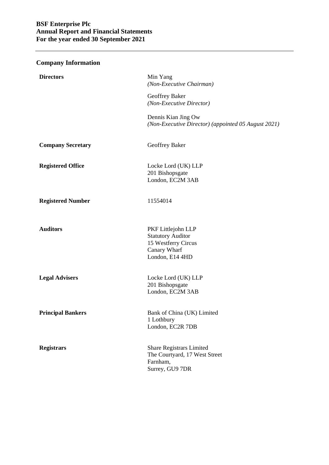## **BSF Enterprise Plc Annual Report and Financial Statements For the year ended 30 September 2021**

## **Company Information**

| <b>Directors</b>         | Min Yang<br>(Non-Executive Chairman)                                                                     |
|--------------------------|----------------------------------------------------------------------------------------------------------|
|                          | Geoffrey Baker<br>(Non-Executive Director)                                                               |
|                          | Dennis Kian Jing Ow<br>(Non-Executive Director) (appointed 05 August 2021)                               |
| <b>Company Secretary</b> | Geoffrey Baker                                                                                           |
| <b>Registered Office</b> | Locke Lord (UK) LLP<br>201 Bishopsgate<br>London, EC2M 3AB                                               |
| <b>Registered Number</b> | 11554014                                                                                                 |
| <b>Auditors</b>          | PKF Littlejohn LLP<br><b>Statutory Auditor</b><br>15 Westferry Circus<br>Canary Wharf<br>London, E14 4HD |
| <b>Legal Advisers</b>    | Locke Lord (UK) LLP<br>201 Bishopsgate<br>London, EC2M 3AB                                               |
| <b>Principal Bankers</b> | Bank of China (UK) Limited<br>1 Lothbury<br>London, EC2R 7DB                                             |
| <b>Registrars</b>        | <b>Share Registrars Limited</b><br>The Courtyard, 17 West Street<br>Farnham,<br>Surrey, GU9 7DR          |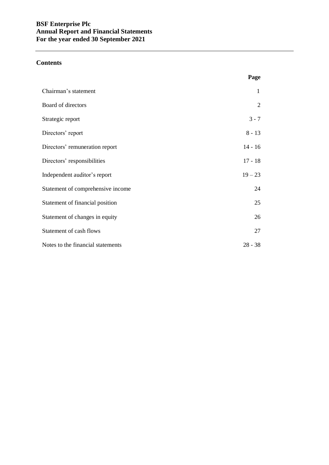## **Contents**

|                                   | Page           |
|-----------------------------------|----------------|
| Chairman's statement              | 1              |
| Board of directors                | $\overline{2}$ |
| Strategic report                  | $3 - 7$        |
| Directors' report                 | $8 - 13$       |
| Directors' remuneration report    | $14 - 16$      |
| Directors' responsibilities       | $17 - 18$      |
| Independent auditor's report      | $19 - 23$      |
| Statement of comprehensive income | 24             |
| Statement of financial position   | 25             |
| Statement of changes in equity    | 26             |
| Statement of cash flows           | 27             |
| Notes to the financial statements | $28 - 38$      |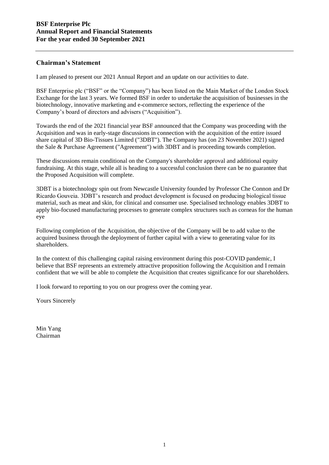## **Chairman's Statement**

I am pleased to present our 2021 Annual Report and an update on our activities to date.

BSF Enterprise plc ("BSF" or the "Company") has been listed on the Main Market of the London Stock Exchange for the last 3 years. We formed BSF in order to undertake the acquisition of businesses in the biotechnology, innovative marketing and e-commerce sectors, reflecting the experience of the Company's board of directors and advisers ("Acquisition").

Towards the end of the 2021 financial year BSF announced that the Company was proceeding with the Acquisition and was in early-stage discussions in connection with the acquisition of the entire issued share capital of 3D Bio-Tissues Limited ("3DBT"). The Company has (on 23 November 2021) signed the Sale & Purchase Agreement ("Agreement") with 3DBT and is proceeding towards completion.

These discussions remain conditional on the Company's shareholder approval and additional equity fundraising. At this stage, while all is heading to a successful conclusion there can be no guarantee that the Proposed Acquisition will complete.

3DBT is a biotechnology spin out from Newcastle University founded by Professor Che Connon and Dr Ricardo Gouveia. 3DBT's research and product development is focused on producing biological tissue material, such as meat and skin, for clinical and consumer use. Specialised technology enables 3DBT to apply bio-focused manufacturing processes to generate complex structures such as corneas for the human eye

Following completion of the Acquisition, the objective of the Company will be to add value to the acquired business through the deployment of further capital with a view to generating value for its shareholders.

In the context of this challenging capital raising environment during this post-COVID pandemic, I believe that BSF represents an extremely attractive proposition following the Acquisition and I remain confident that we will be able to complete the Acquisition that creates significance for our shareholders.

I look forward to reporting to you on our progress over the coming year.

Yours Sincerely

Min Yang Chairman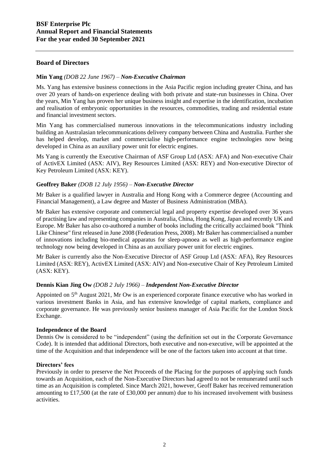## **Board of Directors**

#### **Min Yang** *(DOB 22 June 1967) – Non-Executive Chairman*

Ms. Yang has extensive business connections in the Asia Pacific region including greater China, and has over 20 years of hands-on experience dealing with both private and state-run businesses in China. Over the years, Min Yang has proven her unique business insight and expertise in the identification, incubation and realisation of embryonic opportunities in the resources, commodities, trading and residential estate and financial investment sectors.

Min Yang has commercialised numerous innovations in the telecommunications industry including building an Australasian telecommunications delivery company between China and Australia. Further she has helped develop, market and commercialise high-performance engine technologies now being developed in China as an auxiliary power unit for electric engines.

Ms Yang is currently the Executive Chairman of ASF Group Ltd (ASX: AFA) and Non-executive Chair of ActivEX Limited (ASX: AIV), Rey Resources Limited (ASX: REY) and Non-executive Director of Key Petroleum Limited (ASX: KEY).

### **Geoffrey Baker** *(DOB 12 July 1956) – Non-Executive Director*

Mr Baker is a qualified lawyer in Australia and Hong Kong with a Commerce degree (Accounting and Financial Management), a Law degree and Master of Business Administration (MBA).

Mr Baker has extensive corporate and commercial legal and property expertise developed over 36 years of practising law and representing companies in Australia, China, Hong Kong, Japan and recently UK and Europe. Mr Baker has also co-authored a number of books including the critically acclaimed book "Think Like Chinese" first released in June 2008 (Federation Press, 2008). Mr Baker has commercialised a number of innovations including bio-medical apparatus for sleep-apnoea as well as high-performance engine technology now being developed in China as an auxiliary power unit for electric engines.

Mr Baker is currently also the Non-Executive Director of ASF Group Ltd (ASX: AFA), Rey Resources Limited (ASX: REY), ActivEX Limited (ASX: AIV) and Non-executive Chair of Key Petroleum Limited (ASX: KEY).

#### **Dennis Kian Jing Ow** *(DOB 2 July 1966) – Independent Non-Executive Director*

Appointed on 5<sup>th</sup> August 2021, Mr Ow is an experienced corporate finance executive who has worked in various investment Banks in Asia, and has extensive knowledge of capital markets, compliance and corporate governance. He was previously senior business manager of Asia Pacific for the London Stock Exchange.

#### **Independence of the Board**

Dennis Ow is considered to be "independent" (using the definition set out in the Corporate Governance Code). It is intended that additional Directors, both executive and non-executive, will be appointed at the time of the Acquisition and that independence will be one of the factors taken into account at that time.

#### **Directors' fees**

Previously in order to preserve the Net Proceeds of the Placing for the purposes of applying such funds towards an Acquisition, each of the Non-Executive Directors had agreed to not be remunerated until such time as an Acquisition is completed. Since March 2021, however, Geoff Baker has received remuneration amounting to £17,500 (at the rate of £30,000 per annum) due to his increased involvement with business activities.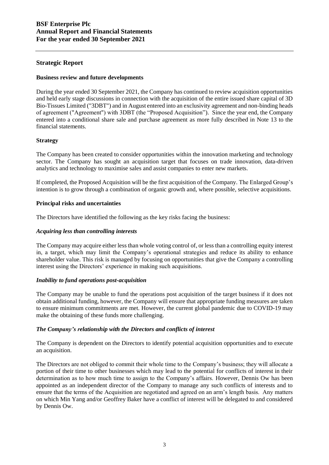## **Strategic Report**

#### **Business review and future developments**

During the year ended 30 September 2021, the Company has continued to review acquisition opportunities and held early stage discussions in connection with the acquisition of the entire issued share capital of 3D Bio-Tissues Limited ("3DBT") and in August entered into an exclusivity agreement and non-binding heads of agreement ("Agreement") with 3DBT (the "Proposed Acquisition"). Since the year end, the Company entered into a conditional share sale and purchase agreement as more fully described in Note 13 to the financial statements.

#### **Strategy**

The Company has been created to consider opportunities within the innovation marketing and technology sector. The Company has sought an acquisition target that focuses on trade innovation, data-driven analytics and technology to maximise sales and assist companies to enter new markets.

If completed, the Proposed Acquisition will be the first acquisition of the Company. The Enlarged Group's intention is to grow through a combination of organic growth and, where possible, selective acquisitions.

#### **Principal risks and uncertainties**

The Directors have identified the following as the key risks facing the business:

#### *Acquiring less than controlling interests*

The Company may acquire either less than whole voting control of, or less than a controlling equity interest in, a target, which may limit the Company's operational strategies and reduce its ability to enhance shareholder value. This risk is managed by focusing on opportunities that give the Company a controlling interest using the Directors' experience in making such acquisitions.

#### *Inability to fund operations post-acquisition*

The Company may be unable to fund the operations post acquisition of the target business if it does not obtain additional funding, however, the Company will ensure that appropriate funding measures are taken to ensure minimum commitments are met. However, the current global pandemic due to COVID-19 may make the obtaining of these funds more challenging.

#### *The Company's relationship with the Directors and conflicts of interest*

The Company is dependent on the Directors to identify potential acquisition opportunities and to execute an acquisition.

The Directors are not obliged to commit their whole time to the Company's business; they will allocate a portion of their time to other businesses which may lead to the potential for conflicts of interest in their determination as to how much time to assign to the Company's affairs. However, Dennis Ow has been appointed as an independent director of the Company to manage any such conflicts of interests and to ensure that the terms of the Acquisition are negotiated and agreed on an arm's length basis. Any matters on which Min Yang and/or Geoffrey Baker have a conflict of interest will be delegated to and considered by Dennis Ow.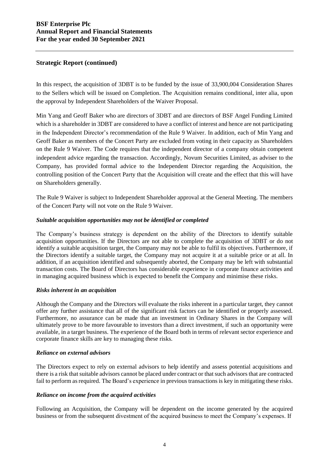In this respect, the acquisition of 3DBT is to be funded by the issue of 33,900,004 Consideration Shares to the Sellers which will be issued on Completion. The Acquisition remains conditional, inter alia, upon the approval by Independent Shareholders of the Waiver Proposal.

Min Yang and Geoff Baker who are directors of 3DBT and are directors of BSF Angel Funding Limited which is a shareholder in 3DBT are considered to have a conflict of interest and hence are not participating in the Independent Director's recommendation of the Rule 9 Waiver. In addition, each of Min Yang and Geoff Baker as members of the Concert Party are excluded from voting in their capacity as Shareholders on the Rule 9 Waiver. The Code requires that the independent director of a company obtain competent independent advice regarding the transaction. Accordingly, Novum Securities Limited, as adviser to the Company, has provided formal advice to the Independent Director regarding the Acquisition, the controlling position of the Concert Party that the Acquisition will create and the effect that this will have on Shareholders generally.

The Rule 9 Waiver is subject to Independent Shareholder approval at the General Meeting. The members of the Concert Party will not vote on the Rule 9 Waiver.

## *Suitable acquisition opportunities may not be identified or completed*

The Company's business strategy is dependent on the ability of the Directors to identify suitable acquisition opportunities. If the Directors are not able to complete the acquisition of 3DBT or do not identify a suitable acquisition target, the Company may not be able to fulfil its objectives. Furthermore, if the Directors identify a suitable target, the Company may not acquire it at a suitable price or at all. In addition, if an acquisition identified and subsequently aborted, the Company may be left with substantial transaction costs. The Board of Directors has considerable experience in corporate finance activities and in managing acquired business which is expected to benefit the Company and minimise these risks.

## *Risks inherent in an acquisition*

Although the Company and the Directors will evaluate the risks inherent in a particular target, they cannot offer any further assistance that all of the significant risk factors can be identified or properly assessed. Furthermore, no assurance can be made that an investment in Ordinary Shares in the Company will ultimately prove to be more favourable to investors than a direct investment, if such an opportunity were available, in a target business. The experience of the Board both in terms of relevant sector experience and corporate finance skills are key to managing these risks.

#### *Reliance on external advisors*

The Directors expect to rely on external advisors to help identify and assess potential acquisitions and there is a risk that suitable advisors cannot be placed under contract or that such advisors that are contracted fail to perform as required. The Board's experience in previous transactions is key in mitigating these risks.

## *Reliance on income from the acquired activities*

Following an Acquisition, the Company will be dependent on the income generated by the acquired business or from the subsequent divestment of the acquired business to meet the Company's expenses. If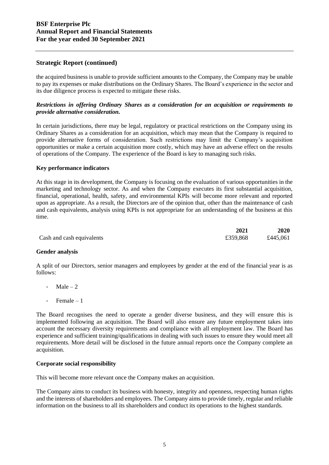the acquired business is unable to provide sufficient amounts to the Company, the Company may be unable to pay its expenses or make distributions on the Ordinary Shares. The Board's experience in the sector and its due diligence process is expected to mitigate these risks.

#### *Restrictions in offering Ordinary Shares as a consideration for an acquisition or requirements to provide alternative consideration.*

In certain jurisdictions, there may be legal, regulatory or practical restrictions on the Company using its Ordinary Shares as a consideration for an acquisition, which may mean that the Company is required to provide alternative forms of consideration. Such restrictions may limit the Company's acquisition opportunities or make a certain acquisition more costly, which may have an adverse effect on the results of operations of the Company. The experience of the Board is key to managing such risks.

#### **Key performance indicators**

At this stage in its development, the Company is focusing on the evaluation of various opportunities in the marketing and technology sector. As and when the Company executes its first substantial acquisition, financial, operational, health, safety, and environmental KPIs will become more relevant and reported upon as appropriate. As a result, the Directors are of the opinion that, other than the maintenance of cash and cash equivalents, analysis using KPIs is not appropriate for an understanding of the business at this time.

|                           | 2021     | <b>2020</b> |
|---------------------------|----------|-------------|
| Cash and cash equivalents | £359,868 | £445,061    |

#### **Gender analysis**

A split of our Directors, senior managers and employees by gender at the end of the financial year is as follows:

- Male  $-2$
- Female  $-1$

The Board recognises the need to operate a gender diverse business, and they will ensure this is implemented following an acquisition. The Board will also ensure any future employment takes into account the necessary diversity requirements and compliance with all employment law. The Board has experience and sufficient training/qualifications in dealing with such issues to ensure they would meet all requirements. More detail will be disclosed in the future annual reports once the Company complete an acquisition.

#### **Corporate social responsibility**

This will become more relevant once the Company makes an acquisition.

The Company aims to conduct its business with honesty, integrity and openness, respecting human rights and the interests of shareholders and employees. The Company aims to provide timely, regular and reliable information on the business to all its shareholders and conduct its operations to the highest standards.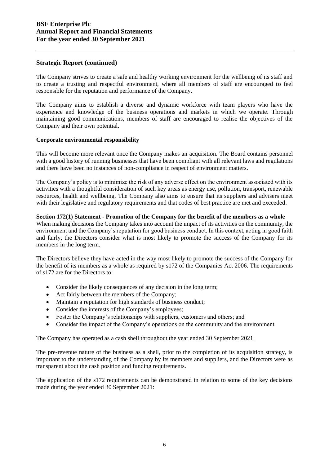The Company strives to create a safe and healthy working environment for the wellbeing of its staff and to create a trusting and respectful environment, where all members of staff are encouraged to feel responsible for the reputation and performance of the Company.

The Company aims to establish a diverse and dynamic workforce with team players who have the experience and knowledge of the business operations and markets in which we operate. Through maintaining good communications, members of staff are encouraged to realise the objectives of the Company and their own potential.

#### **Corporate environmental responsibility**

This will become more relevant once the Company makes an acquisition. The Board contains personnel with a good history of running businesses that have been compliant with all relevant laws and regulations and there have been no instances of non-compliance in respect of environment matters.

The Company's policy is to minimize the risk of any adverse effect on the environment associated with its activities with a thoughtful consideration of such key areas as energy use, pollution, transport, renewable resources, health and wellbeing. The Company also aims to ensure that its suppliers and advisers meet with their legislative and regulatory requirements and that codes of best practice are met and exceeded.

#### **Section 172(1) Statement - Promotion of the Company for the benefit of the members as a whole**

When making decisions the Company takes into account the impact of its activities on the community, the environment and the Company's reputation for good business conduct. In this context, acting in good faith and fairly, the Directors consider what is most likely to promote the success of the Company for its members in the long term.

The Directors believe they have acted in the way most likely to promote the success of the Company for the benefit of its members as a whole as required by s172 of the Companies Act 2006. The requirements of s172 are for the Directors to:

- Consider the likely consequences of any decision in the long term;
- Act fairly between the members of the Company;
- Maintain a reputation for high standards of business conduct;
- Consider the interests of the Company's employees;
- Foster the Company's relationships with suppliers, customers and others; and
- Consider the impact of the Company's operations on the community and the environment.

The Company has operated as a cash shell throughout the year ended 30 September 2021.

The pre-revenue nature of the business as a shell, prior to the completion of its acquisition strategy, is important to the understanding of the Company by its members and suppliers, and the Directors were as transparent about the cash position and funding requirements.

The application of the s172 requirements can be demonstrated in relation to some of the key decisions made during the year ended 30 September 2021: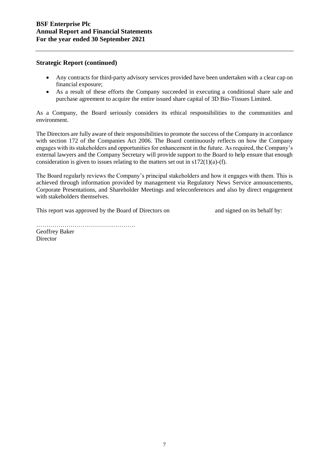- Any contracts for third-party advisory services provided have been undertaken with a clear cap on financial exposure;
- As a result of these efforts the Company succeeded in executing a conditional share sale and purchase agreement to acquire the entire issued share capital of 3D Bio-Tissues Limited.

As a Company, the Board seriously considers its ethical responsibilities to the communities and environment.

The Directors are fully aware of their responsibilities to promote the success of the Company in accordance with section 172 of the Companies Act 2006. The Board continuously reflects on how the Company engages with its stakeholders and opportunities for enhancement in the future. As required, the Company's external lawyers and the Company Secretary will provide support to the Board to help ensure that enough consideration is given to issues relating to the matters set out in  $s172(1)(a)$ -(f).

The Board regularly reviews the Company's principal stakeholders and how it engages with them. This is achieved through information provided by management via Regulatory News Service announcements, Corporate Presentations, and Shareholder Meetings and teleconferences and also by direct engagement with stakeholders themselves.

This report was approved by the Board of Directors on and signed on its behalf by:

…………………………………………. Geoffrey Baker Director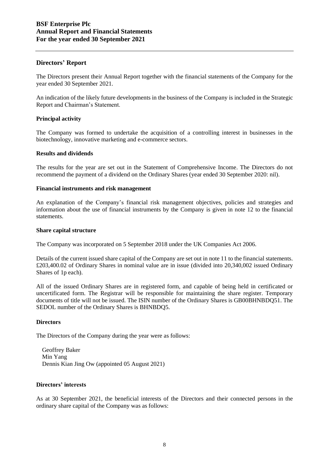#### **Directors' Report**

The Directors present their Annual Report together with the financial statements of the Company for the year ended 30 September 2021.

An indication of the likely future developments in the business of the Company is included in the Strategic Report and Chairman's Statement.

#### **Principal activity**

The Company was formed to undertake the acquisition of a controlling interest in businesses in the biotechnology, innovative marketing and e-commerce sectors.

#### **Results and dividends**

The results for the year are set out in the Statement of Comprehensive Income. The Directors do not recommend the payment of a dividend on the Ordinary Shares (year ended 30 September 2020: nil).

#### **Financial instruments and risk management**

An explanation of the Company's financial risk management objectives, policies and strategies and information about the use of financial instruments by the Company is given in note 12 to the financial statements.

#### **Share capital structure**

The Company was incorporated on 5 September 2018 under the UK Companies Act 2006.

Details of the current issued share capital of the Company are set out in note 11 to the financial statements. £203,400.02 of Ordinary Shares in nominal value are in issue (divided into 20,340,002 issued Ordinary Shares of 1p each).

All of the issued Ordinary Shares are in registered form, and capable of being held in certificated or uncertificated form. The Registrar will be responsible for maintaining the share register. Temporary documents of title will not be issued. The ISIN number of the Ordinary Shares is GB00BHNBDQ51. The SEDOL number of the Ordinary Shares is BHNBDQ5.

#### **Directors**

The Directors of the Company during the year were as follows:

Geoffrey Baker Min Yang Dennis Kian Jing Ow (appointed 05 August 2021)

#### **Directors' interests**

As at 30 September 2021, the beneficial interests of the Directors and their connected persons in the ordinary share capital of the Company was as follows: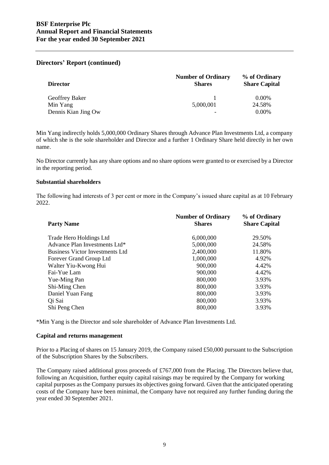| <b>Director</b>     | <b>Number of Ordinary</b><br><b>Shares</b> | % of Ordinary<br><b>Share Capital</b> |
|---------------------|--------------------------------------------|---------------------------------------|
| Geoffrey Baker      |                                            | $0.00\%$                              |
| Min Yang            | 5,000,001                                  | 24.58%                                |
| Dennis Kian Jing Ow | $\overline{\phantom{a}}$                   | 0.00%                                 |

Min Yang indirectly holds 5,000,000 Ordinary Shares through Advance Plan Investments Ltd, a company of which she is the sole shareholder and Director and a further 1 Ordinary Share held directly in her own name.

No Director currently has any share options and no share options were granted to or exercised by a Director in the reporting period.

#### **Substantial shareholders**

The following had interests of 3 per cent or more in the Company's issued share capital as at 10 February 2022.

| <b>Party Name</b>                      | <b>Number of Ordinary</b><br><b>Shares</b> | % of Ordinary<br><b>Share Capital</b> |
|----------------------------------------|--------------------------------------------|---------------------------------------|
| Trade Hero Holdings Ltd                | 6,000,000                                  | 29.50%                                |
| Advance Plan Investments Ltd*          | 5,000,000                                  | 24.58%                                |
| <b>Business Victor Investments Ltd</b> | 2,400,000                                  | 11.80%                                |
| Forever Grand Group Ltd                | 1,000,000                                  | 4.92%                                 |
| Walter Yiu-Kwong Hui                   | 900,000                                    | 4.42%                                 |
| Fai-Yue Lam                            | 900,000                                    | 4.42%                                 |
| Yue-Ming Pan                           | 800,000                                    | 3.93%                                 |
| Shi-Ming Chen                          | 800,000                                    | 3.93%                                 |
| Daniel Yuan Fang                       | 800,000                                    | 3.93%                                 |
| Qi Sai                                 | 800,000                                    | 3.93%                                 |
| Shi Peng Chen                          | 800,000                                    | 3.93%                                 |

\*Min Yang is the Director and sole shareholder of Advance Plan Investments Ltd.

#### **Capital and returns management**

Prior to a Placing of shares on 15 January 2019, the Company raised £50,000 pursuant to the Subscription of the Subscription Shares by the Subscribers.

The Company raised additional gross proceeds of £767,000 from the Placing. The Directors believe that, following an Acquisition, further equity capital raisings may be required by the Company for working capital purposes as the Company pursues its objectives going forward. Given that the anticipated operating costs of the Company have been minimal, the Company have not required any further funding during the year ended 30 September 2021.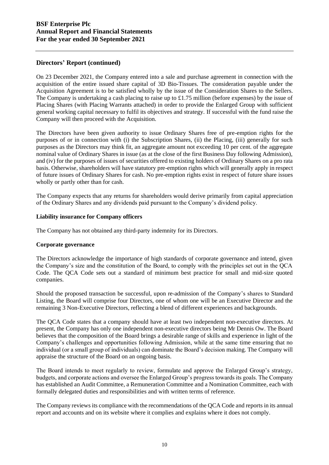On 23 December 2021, the Company entered into a sale and purchase agreement in connection with the acquisition of the entire issued share capital of 3D Bio-Tissues. The consideration payable under the Acquisition Agreement is to be satisfied wholly by the issue of the Consideration Shares to the Sellers. The Company is undertaking a cash placing to raise up to £1.75 million (before expenses) by the issue of Placing Shares (with Placing Warrants attached) in order to provide the Enlarged Group with sufficient general working capital necessary to fulfil its objectives and strategy. If successful with the fund raise the Company will then proceed with the Acquisition.

The Directors have been given authority to issue Ordinary Shares free of pre-emption rights for the purposes of or in connection with (i) the Subscription Shares, (ii) the Placing, (iii) generally for such purposes as the Directors may think fit, an aggregate amount not exceeding 10 per cent. of the aggregate nominal value of Ordinary Shares in issue (as at the close of the first Business Day following Admission), and (iv) for the purposes of issues of securities offered to existing holders of Ordinary Shares on a pro rata basis. Otherwise, shareholders will have statutory pre-emption rights which will generally apply in respect of future issues of Ordinary Shares for cash. No pre-emption rights exist in respect of future share issues wholly or partly other than for cash.

The Company expects that any returns for shareholders would derive primarily from capital appreciation of the Ordinary Shares and any dividends paid pursuant to the Company's dividend policy.

#### **Liability insurance for Company officers**

The Company has not obtained any third-party indemnity for its Directors.

#### **Corporate governance**

The Directors acknowledge the importance of high standards of corporate governance and intend, given the Company's size and the constitution of the Board, to comply with the principles set out in the QCA Code. The QCA Code sets out a standard of minimum best practice for small and mid-size quoted companies.

Should the proposed transaction be successful, upon re-admission of the Company's shares to Standard Listing, the Board will comprise four Directors, one of whom one will be an Executive Director and the remaining 3 Non-Executive Directors, reflecting a blend of different experiences and backgrounds.

The QCA Code states that a company should have at least two independent non-executive directors. At present, the Company has only one independent non-executive directors being Mr Dennis Ow. The Board believes that the composition of the Board brings a desirable range of skills and experience in light of the Company's challenges and opportunities following Admission, while at the same time ensuring that no individual (or a small group of individuals) can dominate the Board's decision making. The Company will appraise the structure of the Board on an ongoing basis.

The Board intends to meet regularly to review, formulate and approve the Enlarged Group's strategy, budgets, and corporate actions and oversee the Enlarged Group's progress towards its goals. The Company has established an Audit Committee, a Remuneration Committee and a Nomination Committee, each with formally delegated duties and responsibilities and with written terms of reference.

The Company reviews its compliance with the recommendations of the QCA Code and reports in its annual report and accounts and on its website where it complies and explains where it does not comply.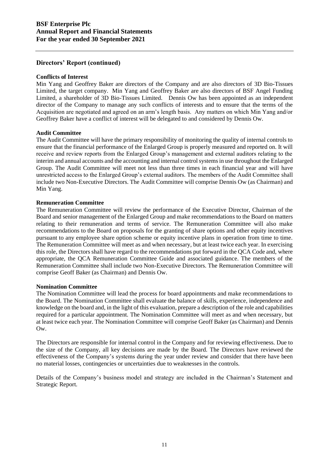#### **Conflicts of Interest**

Min Yang and Geoffrey Baker are directors of the Company and are also directors of 3D Bio-Tissues Limited, the target company. Min Yang and Geoffrey Baker are also directors of BSF Angel Funding Limited, a shareholder of 3D Bio-Tissues Limited. Dennis Ow has been appointed as an independent director of the Company to manage any such conflicts of interests and to ensure that the terms of the Acquisition are negotiated and agreed on an arm's length basis. Any matters on which Min Yang and/or Geoffrey Baker have a conflict of interest will be delegated to and considered by Dennis Ow.

#### **Audit Committee**

The Audit Committee will have the primary responsibility of monitoring the quality of internal controls to ensure that the financial performance of the Enlarged Group is properly measured and reported on. It will receive and review reports from the Enlarged Group's management and external auditors relating to the interim and annual accounts and the accounting and internal control systems in use throughout the Enlarged Group. The Audit Committee will meet not less than three times in each financial year and will have unrestricted access to the Enlarged Group's external auditors. The members of the Audit Committee shall include two Non-Executive Directors. The Audit Committee will comprise Dennis Ow (as Chairman) and Min Yang.

#### **Remuneration Committee**

The Remuneration Committee will review the performance of the Executive Director, Chairman of the Board and senior management of the Enlarged Group and make recommendations to the Board on matters relating to their remuneration and terms of service. The Remuneration Committee will also make recommendations to the Board on proposals for the granting of share options and other equity incentives pursuant to any employee share option scheme or equity incentive plans in operation from time to time. The Remuneration Committee will meet as and when necessary, but at least twice each year. In exercising this role, the Directors shall have regard to the recommendations put forward in the QCA Code and, where appropriate, the QCA Remuneration Committee Guide and associated guidance. The members of the Remuneration Committee shall include two Non-Executive Directors. The Remuneration Committee will comprise Geoff Baker (as Chairman) and Dennis Ow.

#### **Nomination Committee**

The Nomination Committee will lead the process for board appointments and make recommendations to the Board. The Nomination Committee shall evaluate the balance of skills, experience, independence and knowledge on the board and, in the light of this evaluation, prepare a description of the role and capabilities required for a particular appointment. The Nomination Committee will meet as and when necessary, but at least twice each year. The Nomination Committee will comprise Geoff Baker (as Chairman) and Dennis Ow.

The Directors are responsible for internal control in the Company and for reviewing effectiveness. Due to the size of the Company, all key decisions are made by the Board. The Directors have reviewed the effectiveness of the Company's systems during the year under review and consider that there have been no material losses, contingencies or uncertainties due to weaknesses in the controls.

Details of the Company's business model and strategy are included in the Chairman's Statement and Strategic Report.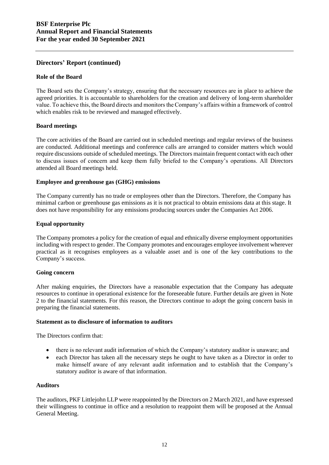#### **Role of the Board**

The Board sets the Company's strategy, ensuring that the necessary resources are in place to achieve the agreed priorities. It is accountable to shareholders for the creation and delivery of long-term shareholder value. To achieve this, the Board directs and monitors the Company's affairs within a framework of control which enables risk to be reviewed and managed effectively.

#### **Board meetings**

The core activities of the Board are carried out in scheduled meetings and regular reviews of the business are conducted. Additional meetings and conference calls are arranged to consider matters which would require discussions outside of scheduled meetings. The Directors maintain frequent contact with each other to discuss issues of concern and keep them fully briefed to the Company's operations. All Directors attended all Board meetings held.

#### **Employee and greenhouse gas (GHG) emissions**

The Company currently has no trade or employees other than the Directors. Therefore, the Company has minimal carbon or greenhouse gas emissions as it is not practical to obtain emissions data at this stage. It does not have responsibility for any emissions producing sources under the Companies Act 2006.

#### **Equal opportunity**

The Company promotes a policy for the creation of equal and ethnically diverse employment opportunities including with respect to gender. The Company promotes and encourages employee involvement wherever practical as it recognises employees as a valuable asset and is one of the key contributions to the Company's success.

#### **Going concern**

After making enquiries, the Directors have a reasonable expectation that the Company has adequate resources to continue in operational existence for the foreseeable future. Further details are given in Note 2 to the financial statements. For this reason, the Directors continue to adopt the going concern basis in preparing the financial statements.

## **Statement as to disclosure of information to auditors**

The Directors confirm that:

- there is no relevant audit information of which the Company's statutory auditor is unaware; and
- each Director has taken all the necessary steps he ought to have taken as a Director in order to make himself aware of any relevant audit information and to establish that the Company's statutory auditor is aware of that information.

#### **Auditors**

The auditors, PKF Littlejohn LLP were reappointed by the Directors on 2 March 2021, and have expressed their willingness to continue in office and a resolution to reappoint them will be proposed at the Annual General Meeting.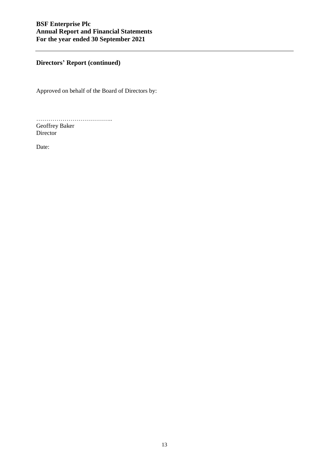## **BSF Enterprise Plc Annual Report and Financial Statements For the year ended 30 September 2021**

## **Directors' Report (continued)**

Approved on behalf of the Board of Directors by:

……………………………………… Geoffrey Baker **Director** 

Date: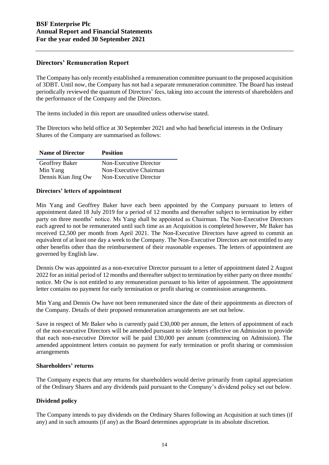### **Directors' Remuneration Report**

The Company has only recently established a remuneration committee pursuant to the proposed acquisition of 3DBT. Until now, the Company has not had a separate remuneration committee. The Board has instead periodically reviewed the quantum of Directors' fees, taking into account the interests of shareholders and the performance of the Company and the Directors.

The items included in this report are unaudited unless otherwise stated.

The Directors who held office at 30 September 2021 and who had beneficial interests in the Ordinary Shares of the Company are summarised as follows:

| <b>Name of Director</b> | <b>Position</b>        |
|-------------------------|------------------------|
| Geoffrey Baker          | Non-Executive Director |
| Min Yang                | Non-Executive Chairman |
| Dennis Kian Jing Ow     | Non-Executive Director |

#### **Directors' letters of appointment**

Min Yang and Geoffrey Baker have each been appointed by the Company pursuant to letters of appointment dated 18 July 2019 for a period of 12 months and thereafter subject to termination by either party on three months' notice. Ms Yang shall be appointed as Chairman. The Non-Executive Directors each agreed to not be remunerated until such time as an Acquisition is completed however, Mr Baker has received £2,500 per month from April 2021. The Non-Executive Directors have agreed to commit an equivalent of at least one day a week to the Company. The Non-Executive Directors are not entitled to any other benefits other than the reimbursement of their reasonable expenses. The letters of appointment are governed by English law.

Dennis Ow was appointed as a non-executive Director pursuant to a letter of appointment dated 2 August 2022 for an initial period of 12 months and thereafter subject to termination by either party on three months' notice. Mr Ow is not entitled to any remuneration pursuant to his letter of appointment. The appointment letter contains no payment for early termination or profit sharing or commission arrangements.

Min Yang and Dennis Ow have not been remunerated since the date of their appointments as directors of the Company. Details of their proposed remuneration arrangements are set out below.

Save in respect of Mr Baker who is currently paid £30,000 per annum, the letters of appointment of each of the non-executive Directors will be amended pursuant to side letters effective on Admission to provide that each non-executive Director will be paid £30,000 per annum (commencing on Admission). The amended appointment letters contain no payment for early termination or profit sharing or commission arrangements

#### **Shareholders' returns**

The Company expects that any returns for shareholders would derive primarily from capital appreciation of the Ordinary Shares and any dividends paid pursuant to the Company's dividend policy set out below.

#### **Dividend policy**

The Company intends to pay dividends on the Ordinary Shares following an Acquisition at such times (if any) and in such amounts (if any) as the Board determines appropriate in its absolute discretion.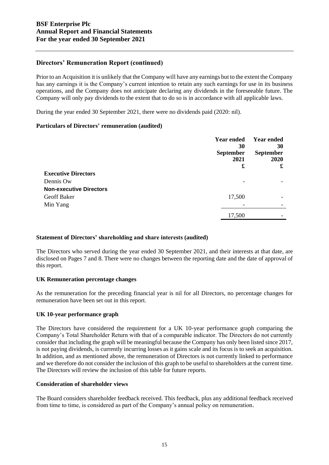## **Directors' Remuneration Report (continued)**

Prior to an Acquisition it is unlikely that the Company will have any earnings but to the extent the Company has any earnings it is the Company's current intention to retain any such earnings for use in its business operations, and the Company does not anticipate declaring any dividends in the foreseeable future. The Company will only pay dividends to the extent that to do so is in accordance with all applicable laws.

During the year ended 30 September 2021, there were no dividends paid (2020: nil).

#### **Particulars of Directors' remuneration (audited)**

|                                | <b>Year ended</b><br>30<br><b>September</b><br>2021<br>£ | <b>Year ended</b><br>30<br><b>September</b><br>2020<br>£ |
|--------------------------------|----------------------------------------------------------|----------------------------------------------------------|
| <b>Executive Directors</b>     |                                                          |                                                          |
| Dennis Ow                      |                                                          |                                                          |
| <b>Non-executive Directors</b> |                                                          |                                                          |
| Geoff Baker                    | 17,500                                                   | -                                                        |
| Min Yang                       |                                                          | -                                                        |
|                                | 17,500                                                   |                                                          |

#### **Statement of Directors' shareholding and share interests (audited)**

The Directors who served during the year ended 30 September 2021, and their interests at that date, are disclosed on Pages 7 and 8. There were no changes between the reporting date and the date of approval of this report.

#### **UK Remuneration percentage changes**

As the remuneration for the preceding financial year is nil for all Directors, no percentage changes for remuneration have been set out in this report.

#### **UK 10-year performance graph**

The Directors have considered the requirement for a UK 10-year performance graph comparing the Company's Total Shareholder Return with that of a comparable indicator. The Directors do not currently consider that including the graph will be meaningful because the Company has only been listed since 2017, is not paying dividends, is currently incurring losses as it gains scale and its focus is to seek an acquisition. In addition, and as mentioned above, the remuneration of Directors is not currently linked to performance and we therefore do not consider the inclusion of this graph to be useful to shareholders at the current time. The Directors will review the inclusion of this table for future reports.

#### **Consideration of shareholder views**

The Board considers shareholder feedback received. This feedback, plus any additional feedback received from time to time, is considered as part of the Company's annual policy on remuneration.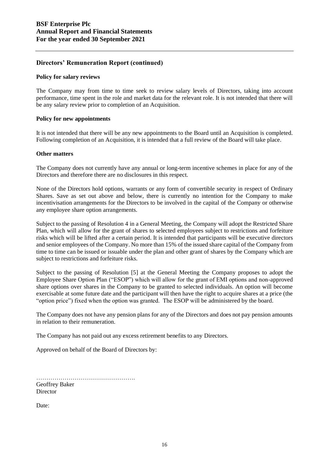### **Directors' Remuneration Report (continued)**

#### **Policy for salary reviews**

The Company may from time to time seek to review salary levels of Directors, taking into account performance, time spent in the role and market data for the relevant role. It is not intended that there will be any salary review prior to completion of an Acquisition.

#### **Policy for new appointments**

It is not intended that there will be any new appointments to the Board until an Acquisition is completed. Following completion of an Acquisition, it is intended that a full review of the Board will take place.

#### **Other matters**

The Company does not currently have any annual or long-term incentive schemes in place for any of the Directors and therefore there are no disclosures in this respect.

None of the Directors hold options, warrants or any form of convertible security in respect of Ordinary Shares. Save as set out above and below, there is currently no intention for the Company to make incentivisation arrangements for the Directors to be involved in the capital of the Company or otherwise any employee share option arrangements.

Subject to the passing of Resolution 4 in a General Meeting, the Company will adopt the Restricted Share Plan, which will allow for the grant of shares to selected employees subject to restrictions and forfeiture risks which will be lifted after a certain period. It is intended that participants will be executive directors and senior employees of the Company. No more than 15% of the issued share capital of the Company from time to time can be issued or issuable under the plan and other grant of shares by the Company which are subject to restrictions and forfeiture risks.

Subject to the passing of Resolution [5] at the General Meeting the Company proposes to adopt the Employee Share Option Plan ("ESOP") which will allow for the grant of EMI options and non-approved share options over shares in the Company to be granted to selected individuals. An option will become exercisable at some future date and the participant will then have the right to acquire shares at a price (the "option price") fixed when the option was granted. The ESOP will be administered by the board.

The Company does not have any pension plans for any of the Directors and does not pay pension amounts in relation to their remuneration.

The Company has not paid out any excess retirement benefits to any Directors.

Approved on behalf of the Board of Directors by:

………………………………………………… Geoffrey Baker **Director** 

Date: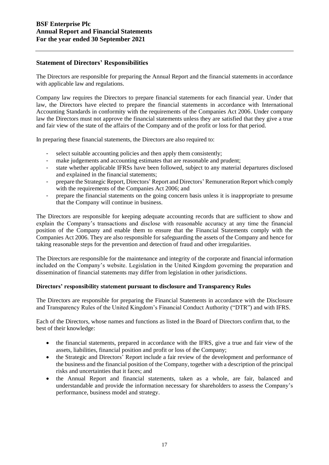#### **Statement of Directors' Responsibilities**

The Directors are responsible for preparing the Annual Report and the financial statements in accordance with applicable law and regulations.

Company law requires the Directors to prepare financial statements for each financial year. Under that law, the Directors have elected to prepare the financial statements in accordance with International Accounting Standards in conformity with the requirements of the Companies Act 2006. Under company law the Directors must not approve the financial statements unless they are satisfied that they give a true and fair view of the state of the affairs of the Company and of the profit or loss for that period.

In preparing these financial statements, the Directors are also required to:

- select suitable accounting policies and then apply them consistently;
- make judgements and accounting estimates that are reasonable and prudent;
- state whether applicable IFRSs have been followed, subject to any material departures disclosed and explained in the financial statements;
- prepare the Strategic Report, Directors' Report and Directors' Remuneration Report which comply with the requirements of the Companies Act 2006; and
- prepare the financial statements on the going concern basis unless it is inappropriate to presume that the Company will continue in business.

The Directors are responsible for keeping adequate accounting records that are sufficient to show and explain the Company's transactions and disclose with reasonable accuracy at any time the financial position of the Company and enable them to ensure that the Financial Statements comply with the Companies Act 2006. They are also responsible for safeguarding the assets of the Company and hence for taking reasonable steps for the prevention and detection of fraud and other irregularities.

The Directors are responsible for the maintenance and integrity of the corporate and financial information included on the Company's website. Legislation in the United Kingdom governing the preparation and dissemination of financial statements may differ from legislation in other jurisdictions.

#### **Directors' responsibility statement pursuant to disclosure and Transparency Rules**

The Directors are responsible for preparing the Financial Statements in accordance with the Disclosure and Transparency Rules of the United Kingdom's Financial Conduct Authority ("DTR") and with IFRS.

Each of the Directors, whose names and functions as listed in the Board of Directors confirm that, to the best of their knowledge:

- the financial statements, prepared in accordance with the IFRS, give a true and fair view of the assets, liabilities, financial position and profit or loss of the Company;
- the Strategic and Directors' Report include a fair review of the development and performance of the business and the financial position of the Company, together with a description of the principal risks and uncertainties that it faces; and
- the Annual Report and financial statements, taken as a whole, are fair, balanced and understandable and provide the information necessary for shareholders to assess the Company's performance, business model and strategy.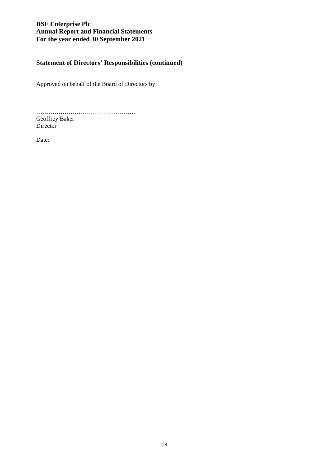## **Statement of Directors' Responsibilities (continued)**

Approved on behalf of the Board of Directors by:

…………………………………………. Geoffrey Baker Director

Date: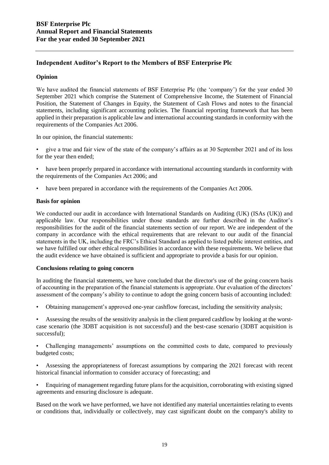## **Independent Auditor's Report to the Members of BSF Enterprise Plc**

#### **Opinion**

We have audited the financial statements of BSF Enterprise Plc (the 'company') for the year ended 30 September 2021 which comprise the Statement of Comprehensive Income, the Statement of Financial Position, the Statement of Changes in Equity, the Statement of Cash Flows and notes to the financial statements, including significant accounting policies. The financial reporting framework that has been applied in their preparation is applicable law and international accounting standards in conformity with the requirements of the Companies Act 2006.

In our opinion, the financial statements:

• give a true and fair view of the state of the company's affairs as at 30 September 2021 and of its loss for the year then ended;

have been properly prepared in accordance with international accounting standards in conformity with the requirements of the Companies Act 2006; and

have been prepared in accordance with the requirements of the Companies Act 2006.

### **Basis for opinion**

We conducted our audit in accordance with International Standards on Auditing (UK) (ISAs (UK)) and applicable law. Our responsibilities under those standards are further described in the Auditor's responsibilities for the audit of the financial statements section of our report. We are independent of the company in accordance with the ethical requirements that are relevant to our audit of the financial statements in the UK, including the FRC's Ethical Standard as applied to listed public interest entities, and we have fulfilled our other ethical responsibilities in accordance with these requirements. We believe that the audit evidence we have obtained is sufficient and appropriate to provide a basis for our opinion.

#### **Conclusions relating to going concern**

In auditing the financial statements, we have concluded that the director's use of the going concern basis of accounting in the preparation of the financial statements is appropriate. Our evaluation of the directors' assessment of the company's ability to continue to adopt the going concern basis of accounting included:

• Obtaining management's approved one-year cashflow forecast, including the sensitivity analysis;

• Assessing the results of the sensitivity analysis in the client prepared cashflow by looking at the worstcase scenario (the 3DBT acquisition is not successful) and the best-case scenario (3DBT acquisition is successful);

• Challenging managements' assumptions on the committed costs to date, compared to previously budgeted costs;

• Assessing the appropriateness of forecast assumptions by comparing the 2021 forecast with recent historical financial information to consider accuracy of forecasting; and

• Enquiring of management regarding future plans for the acquisition, corroborating with existing signed agreements and ensuring disclosure is adequate.

Based on the work we have performed, we have not identified any material uncertainties relating to events or conditions that, individually or collectively, may cast significant doubt on the company's ability to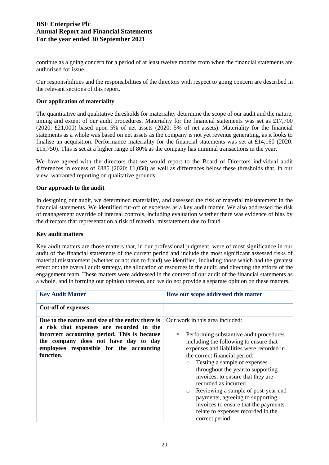continue as a going concern for a period of at least twelve months from when the financial statements are authorised for issue.

Our responsibilities and the responsibilities of the directors with respect to going concern are described in the relevant sections of this report.

#### **Our application of materiality**

The quantitative and qualitative thresholds for materiality determine the scope of our audit and the nature, timing and extent of our audit procedures. Materiality for the financial statements was set as £17,700 (2020: £21,000) based upon 5% of net assets (2020: 5% of net assets). Materiality for the financial statements as a whole was based on net assets as the company is not yet revenue generating, as it looks to finalise an acquisition. Performance materiality for the financial statements was set at £14,160 (2020: £15,750). This is set at a higher range of 80% as the company has minimal transactions in the year.

We have agreed with the directors that we would report to the Board of Directors individual audit differences in excess of £885 (2020: £1,050) as well as differences below these thresholds that, in our view, warranted reporting on qualitative grounds.

#### **Our approach to the audit**

In designing our audit, we determined materiality, and assessed the risk of material misstatement in the financial statements. We identified cut-off of expenses as a key audit matter. We also addressed the risk of management override of internal controls, including evaluation whether there was evidence of bias by the directors that representation a risk of material misstatement due to fraud

#### **Key audit matters**

Key audit matters are those matters that, in our professional judgment, were of most significance in our audit of the financial statements of the current period and include the most significant assessed risks of material misstatement (whether or not due to fraud) we identified, including those which had the greatest effect on: the overall audit strategy, the allocation of resources in the audit; and directing the efforts of the engagement team. These matters were addressed in the context of our audit of the financial statements as a whole, and in forming our opinion thereon, and we do not provide a separate opinion on these matters.

| <b>Key Audit Matter</b>                                                                                                                                                                                                                        | How our scope addressed this matter                                                                                                                                                                                                                                                                                                                                                                                                                                                                                                    |
|------------------------------------------------------------------------------------------------------------------------------------------------------------------------------------------------------------------------------------------------|----------------------------------------------------------------------------------------------------------------------------------------------------------------------------------------------------------------------------------------------------------------------------------------------------------------------------------------------------------------------------------------------------------------------------------------------------------------------------------------------------------------------------------------|
| <b>Cut-off of expenses</b>                                                                                                                                                                                                                     |                                                                                                                                                                                                                                                                                                                                                                                                                                                                                                                                        |
| Due to the nature and size of the entity there is<br>a risk that expenses are recorded in the<br>incorrect accounting period. This is because<br>the company does not have day to day<br>employees responsible for the accounting<br>function. | Our work in this area included:<br>Performing substantive audit procedures<br>including the following to ensure that<br>expenses and liabilities were recorded in<br>the correct financial period:<br>Testing a sample of expenses<br>$\circ$<br>throughout the year to supporting<br>invoices, to ensure that they are<br>recorded as incurred.<br>Reviewing a sample of post-year end<br>$\circ$<br>payments, agreeing to supporting<br>invoices to ensure that the payments<br>relate to expenses recorded in the<br>correct period |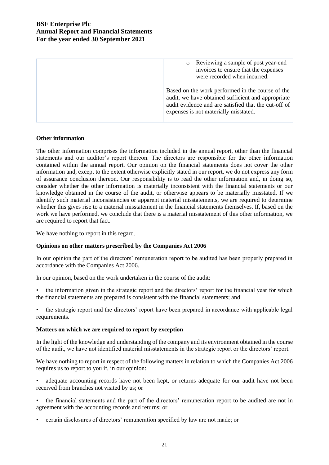| Reviewing a sample of post year-end<br>$\circ$<br>invoices to ensure that the expenses<br>were recorded when incurred.                                                                                  |
|---------------------------------------------------------------------------------------------------------------------------------------------------------------------------------------------------------|
| Based on the work performed in the course of the<br>audit, we have obtained sufficient and appropriate<br>audit evidence and are satisfied that the cut-off of<br>expenses is not materially misstated. |

#### **Other information**

The other information comprises the information included in the annual report, other than the financial statements and our auditor's report thereon. The directors are responsible for the other information contained within the annual report. Our opinion on the financial statements does not cover the other information and, except to the extent otherwise explicitly stated in our report, we do not express any form of assurance conclusion thereon. Our responsibility is to read the other information and, in doing so, consider whether the other information is materially inconsistent with the financial statements or our knowledge obtained in the course of the audit, or otherwise appears to be materially misstated. If we identify such material inconsistencies or apparent material misstatements, we are required to determine whether this gives rise to a material misstatement in the financial statements themselves. If, based on the work we have performed, we conclude that there is a material misstatement of this other information, we are required to report that fact.

We have nothing to report in this regard.

#### **Opinions on other matters prescribed by the Companies Act 2006**

In our opinion the part of the directors' remuneration report to be audited has been properly prepared in accordance with the Companies Act 2006.

In our opinion, based on the work undertaken in the course of the audit:

• the information given in the strategic report and the directors' report for the financial year for which the financial statements are prepared is consistent with the financial statements; and

• the strategic report and the directors' report have been prepared in accordance with applicable legal requirements.

#### **Matters on which we are required to report by exception**

In the light of the knowledge and understanding of the company and its environment obtained in the course of the audit, we have not identified material misstatements in the strategic report or the directors' report.

We have nothing to report in respect of the following matters in relation to which the Companies Act 2006 requires us to report to you if, in our opinion:

adequate accounting records have not been kept, or returns adequate for our audit have not been received from branches not visited by us; or

• the financial statements and the part of the directors' remuneration report to be audited are not in agreement with the accounting records and returns; or

• certain disclosures of directors' remuneration specified by law are not made; or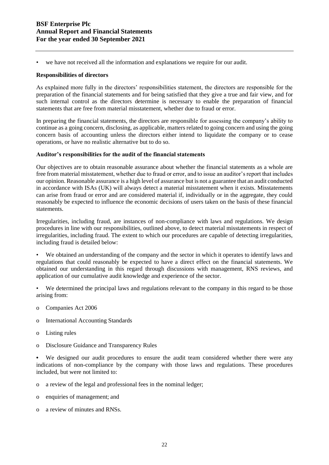• we have not received all the information and explanations we require for our audit.

#### **Responsibilities of directors**

As explained more fully in the directors' responsibilities statement, the directors are responsible for the preparation of the financial statements and for being satisfied that they give a true and fair view, and for such internal control as the directors determine is necessary to enable the preparation of financial statements that are free from material misstatement, whether due to fraud or error.

In preparing the financial statements, the directors are responsible for assessing the company's ability to continue as a going concern, disclosing, as applicable, matters related to going concern and using the going concern basis of accounting unless the directors either intend to liquidate the company or to cease operations, or have no realistic alternative but to do so.

#### **Auditor's responsibilities for the audit of the financial statements**

Our objectives are to obtain reasonable assurance about whether the financial statements as a whole are free from material misstatement, whether due to fraud or error, and to issue an auditor's report that includes our opinion. Reasonable assurance is a high level of assurance but is not a guarantee that an audit conducted in accordance with ISAs (UK) will always detect a material misstatement when it exists. Misstatements can arise from fraud or error and are considered material if, individually or in the aggregate, they could reasonably be expected to influence the economic decisions of users taken on the basis of these financial statements.

Irregularities, including fraud, are instances of non-compliance with laws and regulations. We design procedures in line with our responsibilities, outlined above, to detect material misstatements in respect of irregularities, including fraud. The extent to which our procedures are capable of detecting irregularities, including fraud is detailed below:

• We obtained an understanding of the company and the sector in which it operates to identify laws and regulations that could reasonably be expected to have a direct effect on the financial statements. We obtained our understanding in this regard through discussions with management, RNS reviews, and application of our cumulative audit knowledge and experience of the sector.

• We determined the principal laws and regulations relevant to the company in this regard to be those arising from:

- o Companies Act 2006
- o International Accounting Standards
- o Listing rules
- o Disclosure Guidance and Transparency Rules

**•** We designed our audit procedures to ensure the audit team considered whether there were any indications of non-compliance by the company with those laws and regulations. These procedures included, but were not limited to:

- o a review of the legal and professional fees in the nominal ledger;
- o enquiries of management; and
- o a review of minutes and RNSs.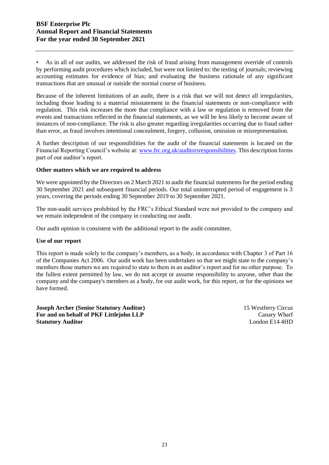• As in all of our audits, we addressed the risk of fraud arising from management override of controls by performing audit procedures which included, but were not limited to: the testing of journals; reviewing accounting estimates for evidence of bias; and evaluating the business rationale of any significant transactions that are unusual or outside the normal course of business.

Because of the inherent limitations of an audit, there is a risk that we will not detect all irregularities, including those leading to a material misstatement in the financial statements or non-compliance with regulation. This risk increases the more that compliance with a law or regulation is removed from the events and transactions reflected in the financial statements, as we will be less likely to become aware of instances of non-compliance. The risk is also greater regarding irregularities occurring due to fraud rather than error, as fraud involves intentional concealment, forgery, collusion, omission or misrepresentation.

A further description of our responsibilities for the audit of the financial statements is located on the Financial Reporting Council's website at[: www.frc.org.uk/auditorsresponsibilities.](http://www.frc.org.uk/auditorsresponsibilities) This description forms part of our auditor's report.

#### **Other matters which we are required to address**

We were appointed by the Directors on 2 March 2021 to audit the financial statements for the period ending 30 September 2021 and subsequent financial periods. Our total uninterrupted period of engagement is 3 years, covering the periods ending 30 September 2019 to 30 September 2021.

The non-audit services prohibited by the FRC's Ethical Standard were not provided to the company and we remain independent of the company in conducting our audit.

Our audit opinion is consistent with the additional report to the audit committee.

#### **Use of our report**

This report is made solely to the company's members, as a body, in accordance with Chapter 3 of Part 16 of the Companies Act 2006. Our audit work has been undertaken so that we might state to the company's members those matters we are required to state to them in an auditor's report and for no other purpose. To the fullest extent permitted by law, we do not accept or assume responsibility to anyone, other than the company and the company's members as a body, for our audit work, for this report, or for the opinions we have formed.

**Joseph Archer (Senior Statutory Auditor)** 15 Westferry Circus **For and on behalf of PKF Littlejohn LLP** Canary Wharf **Statutory Auditor** London E14 4HD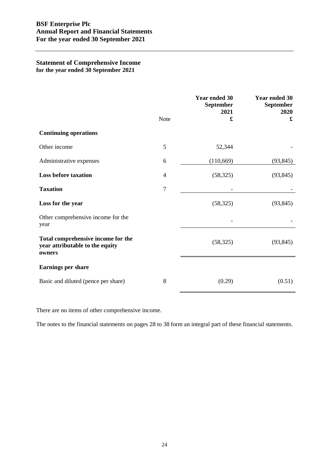## **Statement of Comprehensive Income for the year ended 30 September 2021**

|                                                                                 | Note           | <b>Year ended 30</b><br><b>September</b><br>2021<br>£ | <b>Year ended 30</b><br>September<br>2020<br>£ |
|---------------------------------------------------------------------------------|----------------|-------------------------------------------------------|------------------------------------------------|
| <b>Continuing operations</b>                                                    |                |                                                       |                                                |
| Other income                                                                    | 5              | 52,344                                                |                                                |
| Administrative expenses                                                         | 6              | (110, 669)                                            | (93, 845)                                      |
| <b>Loss before taxation</b>                                                     | $\overline{4}$ | (58, 325)                                             | (93, 845)                                      |
| <b>Taxation</b>                                                                 | $\overline{7}$ |                                                       |                                                |
| Loss for the year                                                               |                | (58, 325)                                             | (93, 845)                                      |
| Other comprehensive income for the<br>year                                      |                |                                                       |                                                |
| Total comprehensive income for the<br>year attributable to the equity<br>owners |                | (58, 325)                                             | (93, 845)                                      |
| <b>Earnings per share</b>                                                       |                |                                                       |                                                |
| Basic and diluted (pence per share)                                             | 8              | (0.29)                                                | (0.51)                                         |

There are no items of other comprehensive income.

The notes to the financial statements on pages 28 to 38 form an integral part of these financial statements.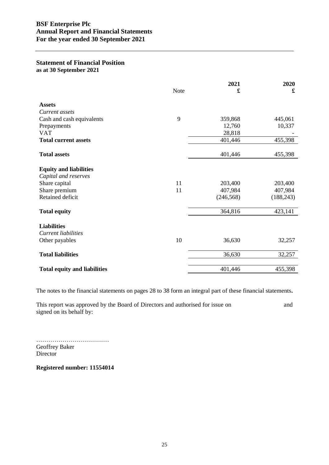## **BSF Enterprise Plc Annual Report and Financial Statements For the year ended 30 September 2021**

#### **Statement of Financial Position as at 30 September 2021**

|                                     | <b>Note</b> | 2021<br>£  | 2020<br>£  |
|-------------------------------------|-------------|------------|------------|
| <b>Assets</b>                       |             |            |            |
| Current assets                      |             |            |            |
| Cash and cash equivalents           | 9           | 359,868    | 445,061    |
| Prepayments                         |             | 12,760     | 10,337     |
| <b>VAT</b>                          |             | 28,818     |            |
| <b>Total current assets</b>         |             | 401,446    | 455,398    |
| <b>Total assets</b>                 |             | 401,446    | 455,398    |
| <b>Equity and liabilities</b>       |             |            |            |
| Capital and reserves                |             |            |            |
| Share capital                       | 11          | 203,400    | 203,400    |
| Share premium                       | 11          | 407,984    | 407,984    |
| Retained deficit                    |             | (246, 568) | (188, 243) |
| <b>Total equity</b>                 |             | 364,816    | 423,141    |
| <b>Liabilities</b>                  |             |            |            |
| <b>Current liabilities</b>          |             |            |            |
| Other payables                      | 10          | 36,630     | 32,257     |
| <b>Total liabilities</b>            |             | 36,630     | 32,257     |
|                                     |             |            |            |
| <b>Total equity and liabilities</b> |             | 401,446    | 455,398    |

The notes to the financial statements on pages 28 to 38 form an integral part of these financial statements**.**

This report was approved by the Board of Directors and authorised for issue on and signed on its behalf by:

……………………………… Geoffrey Baker **Director** 

**Registered number: 11554014**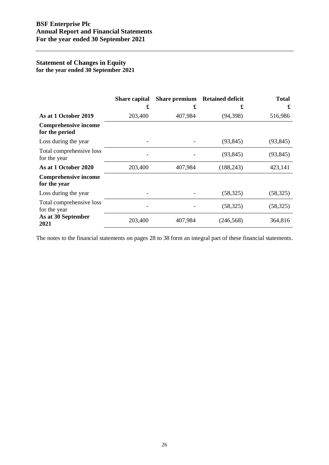## **Statement of Changes in Equity for the year ended 30 September 2021**

|                                               | <b>Share capital</b><br>£ | Share premium<br>£ | <b>Retained deficit</b><br>£ | <b>Total</b><br>£ |
|-----------------------------------------------|---------------------------|--------------------|------------------------------|-------------------|
| As at 1 October 2019                          | 203,400                   | 407,984            | (94, 398)                    | 516,986           |
| <b>Comprehensive income</b><br>for the period |                           |                    |                              |                   |
| Loss during the year                          |                           |                    | (93, 845)                    | (93, 845)         |
| Total comprehensive loss<br>for the year      |                           |                    | (93, 845)                    | (93, 845)         |
| As at 1 October 2020                          | 203,400                   | 407,984            | (188, 243)                   | 423,141           |
| <b>Comprehensive income</b><br>for the year   |                           |                    |                              |                   |
| Loss during the year                          |                           |                    | (58, 325)                    | (58, 325)         |
| Total comprehensive loss<br>for the year      |                           |                    | (58, 325)                    | (58, 325)         |
| As at 30 September<br>2021                    | 203,400                   | 407,984            | (246, 568)                   | 364,816           |

The notes to the financial statements on pages 28 to 38 form an integral part of these financial statements.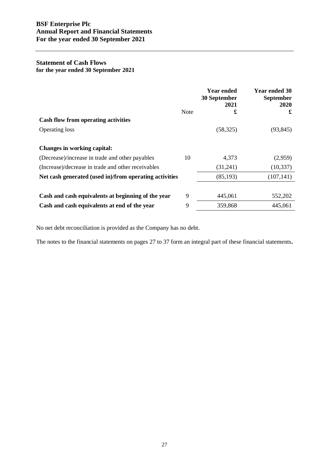## **Statement of Cash Flows for the year ended 30 September 2021**

|                                                        |             | <b>Year ended</b><br>30 September<br>2021 | <b>Year ended 30</b><br><b>September</b><br>2020 |
|--------------------------------------------------------|-------------|-------------------------------------------|--------------------------------------------------|
|                                                        | <b>Note</b> | £                                         | £                                                |
| <b>Cash flow from operating activities</b>             |             |                                           |                                                  |
| <b>Operating loss</b>                                  |             | (58, 325)                                 | (93, 845)                                        |
| <b>Changes in working capital:</b>                     |             |                                           |                                                  |
| (Decrease)/increase in trade and other payables        | 10          | 4,373                                     | (2,959)                                          |
| (Increase)/decrease in trade and other receivables     |             | (31,241)                                  | (10, 337)                                        |
| Net cash generated (used in)/from operating activities |             | (85, 193)                                 | (107, 141)                                       |
|                                                        |             |                                           |                                                  |
| Cash and cash equivalents at beginning of the year     | 9           | 445,061                                   | 552,202                                          |
| Cash and cash equivalents at end of the year           | 9           | 359,868                                   | 445,061                                          |

No net debt reconciliation is provided as the Company has no debt.

The notes to the financial statements on pages 27 to 37 form an integral part of these financial statements**.**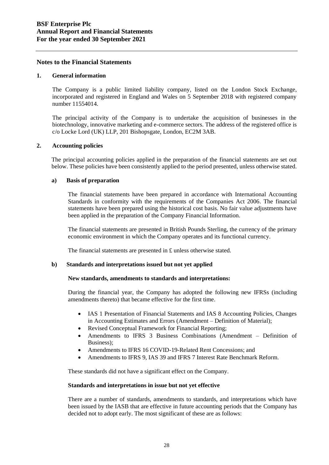#### **Notes to the Financial Statements**

#### **1. General information**

The Company is a public limited liability company, listed on the London Stock Exchange, incorporated and registered in England and Wales on 5 September 2018 with registered company number 11554014.

The principal activity of the Company is to undertake the acquisition of businesses in the biotechnology, innovative marketing and e-commerce sectors. The address of the registered office is c/o Locke Lord (UK) LLP, 201 Bishopsgate, London, EC2M 3AB.

#### **2. Accounting policies**

The principal accounting policies applied in the preparation of the financial statements are set out below. These policies have been consistently applied to the period presented, unless otherwise stated.

#### **a) Basis of preparation**

The financial statements have been prepared in accordance with International Accounting Standards in conformity with the requirements of the Companies Act 2006. The financial statements have been prepared using the historical cost basis. No fair value adjustments have been applied in the preparation of the Company Financial Information.

The financial statements are presented in British Pounds Sterling, the currency of the primary economic environment in which the Company operates and its functional currency.

The financial statements are presented in £ unless otherwise stated.

## **b) Standards and interpretations issued but not yet applied**

#### **New standards, amendments to standards and interpretations:**

During the financial year, the Company has adopted the following new IFRSs (including amendments thereto) that became effective for the first time.

- IAS 1 Presentation of Financial Statements and IAS 8 Accounting Policies, Changes in Accounting Estimates and Errors (Amendment – Definition of Material);
- Revised Conceptual Framework for Financial Reporting;
- Amendments to IFRS 3 Business Combinations (Amendment Definition of Business);
- Amendments to IFRS 16 COVID-19-Related Rent Concessions; and
- Amendments to IFRS 9, IAS 39 and IFRS 7 Interest Rate Benchmark Reform.

These standards did not have a significant effect on the Company.

#### **Standards and interpretations in issue but not yet effective**

There are a number of standards, amendments to standards, and interpretations which have been issued by the IASB that are effective in future accounting periods that the Company has decided not to adopt early. The most significant of these are as follows: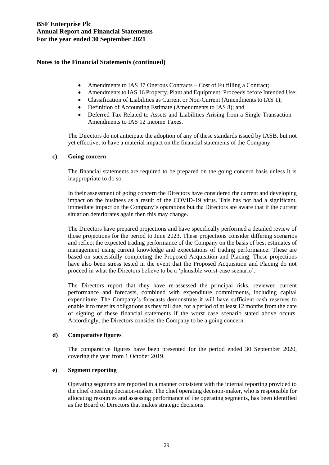- Amendments to IAS 37 Onerous Contracts Cost of Fulfilling a Contract;
- Amendments to IAS 16 Property, Plant and Equipment: Proceeds before Intended Use;
- Classification of Liabilities as Current or Non-Current (Amendments to IAS 1);
- Definition of Accounting Estimate (Amendments to IAS 8); and
- Deferred Tax Related to Assets and Liabilities Arising from a Single Transaction Amendments to IAS 12 Income Taxes.

The Directors do not anticipate the adoption of any of these standards issued by IASB, but not yet effective, to have a material impact on the financial statements of the Company.

#### **c) Going concern**

The financial statements are required to be prepared on the going concern basis unless it is inappropriate to do so.

In their assessment of going concern the Directors have considered the current and developing impact on the business as a result of the COVID-19 virus. This has not had a significant, immediate impact on the Company's operations but the Directors are aware that if the current situation deteriorates again then this may change.

The Directors have prepared projections and have specifically performed a detailed review of those projections for the period to June 2023. These projections consider differing scenarios and reflect the expected trading performance of the Company on the basis of best estimates of management using current knowledge and expectations of trading performance. These are based on successfully completing the Proposed Acquisition and Placing. These projections have also been stress tested in the event that the Proposed Acquisition and Placing do not proceed in what the Directors believe to be a 'plausible worst-case scenario'.

The Directors report that they have re-assessed the principal risks, reviewed current performance and forecasts, combined with expenditure commitments, including capital expenditure. The Company's forecasts demonstrate it will have sufficient cash reserves to enable it to meet its obligations as they fall due, for a period of at least 12 months from the date of signing of these financial statements if the worst case scenario stated above occurs. Accordingly, the Directors consider the Company to be a going concern.

## **d) Comparative figures**

The comparative figures have been presented for the period ended 30 September 2020, covering the year from 1 October 2019.

#### **e) Segment reporting**

Operating segments are reported in a manner consistent with the internal reporting provided to the chief operating decision-maker. The chief operating decision-maker, who is responsible for allocating resources and assessing performance of the operating segments, has been identified as the Board of Directors that makes strategic decisions.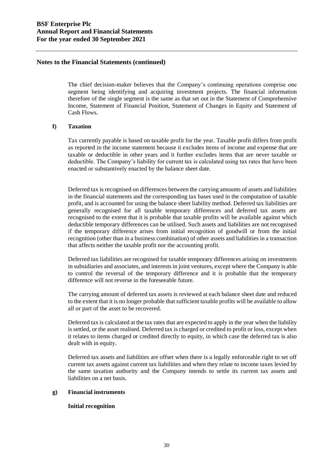The chief decision-maker believes that the Company's continuing operations comprise one segment being identifying and acquiring investment projects. The financial information therefore of the single segment is the same as that set out in the Statement of Comprehensive Income, Statement of Financial Position, Statement of Changes in Equity and Statement of Cash Flows.

#### **f) Taxation**

Tax currently payable is based on taxable profit for the year. Taxable profit differs from profit as reported in the income statement because it excludes items of income and expense that are taxable or deductible in other years and it further excludes items that are never taxable or deductible. The Company's liability for current tax is calculated using tax rates that have been enacted or substantively enacted by the balance sheet date.

Deferred tax is recognised on differences between the carrying amounts of assets and liabilities in the financial statements and the corresponding tax bases used in the computation of taxable profit, and is accounted for using the balance sheet liability method. Deferred tax liabilities are generally recognised for all taxable temporary differences and deferred tax assets are recognised to the extent that it is probable that taxable profits will be available against which deductible temporary differences can be utilised. Such assets and liabilities are not recognised if the temporary difference arises from initial recognition of goodwill or from the initial recognition (other than in a business combination) of other assets and liabilities in a transaction that affects neither the taxable profit nor the accounting profit.

Deferred tax liabilities are recognised for taxable temporary differences arising on investments in subsidiaries and associates, and interests in joint ventures, except where the Company is able to control the reversal of the temporary difference and it is probable that the temporary difference will not reverse in the foreseeable future.

The carrying amount of deferred tax assets is reviewed at each balance sheet date and reduced to the extent that it is no longer probable that sufficient taxable profits will be available to allow all or part of the asset to be recovered.

Deferred tax is calculated at the tax rates that are expected to apply in the year when the liability is settled, or the asset realised. Deferred tax is charged or credited to profit or loss, except when it relates to items charged or credited directly to equity, in which case the deferred tax is also dealt with in equity.

Deferred tax assets and liabilities are offset when there is a legally enforceable right to set off current tax assets against current tax liabilities and when they relate to income taxes levied by the same taxation authority and the Company intends to settle its current tax assets and liabilities on a net basis.

#### **g) Financial instruments**

#### **Initial recognition**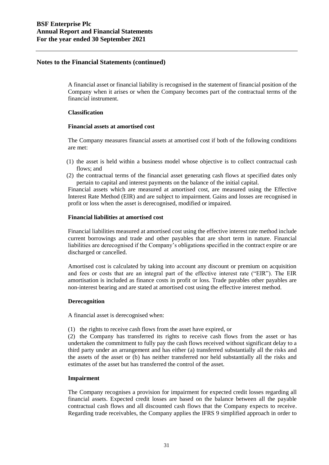A financial asset or financial liability is recognised in the statement of financial position of the Company when it arises or when the Company becomes part of the contractual terms of the financial instrument.

#### **Classification**

#### **Financial assets at amortised cost**

The Company measures financial assets at amortised cost if both of the following conditions are met:

- (1) the asset is held within a business model whose objective is to collect contractual cash flows; and
- (2) the contractual terms of the financial asset generating cash flows at specified dates only pertain to capital and interest payments on the balance of the initial capital.

Financial assets which are measured at amortised cost, are measured using the Effective Interest Rate Method (EIR) and are subject to impairment. Gains and losses are recognised in profit or loss when the asset is derecognised, modified or impaired.

#### **Financial liabilities at amortised cost**

Financial liabilities measured at amortised cost using the effective interest rate method include current borrowings and trade and other payables that are short term in nature. Financial liabilities are derecognised if the Company's obligations specified in the contract expire or are discharged or cancelled.

Amortised cost is calculated by taking into account any discount or premium on acquisition and fees or costs that are an integral part of the effective interest rate ("EIR"). The EIR amortisation is included as finance costs in profit or loss. Trade payables other payables are non-interest bearing and are stated at amortised cost using the effective interest method.

#### **Derecognition**

A financial asset is derecognised when:

(1) the rights to receive cash flows from the asset have expired, or

(2) the Company has transferred its rights to receive cash flows from the asset or has undertaken the commitment to fully pay the cash flows received without significant delay to a third party under an arrangement and has either (a) transferred substantially all the risks and the assets of the asset or (b) has neither transferred nor held substantially all the risks and estimates of the asset but has transferred the control of the asset.

#### **Impairment**

The Company recognises a provision for impairment for expected credit losses regarding all financial assets. Expected credit losses are based on the balance between all the payable contractual cash flows and all discounted cash flows that the Company expects to receive. Regarding trade receivables, the Company applies the IFRS 9 simplified approach in order to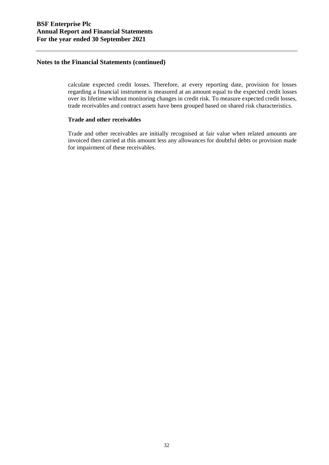calculate expected credit losses. Therefore, at every reporting date, provision for losses regarding a financial instrument is measured at an amount equal to the expected credit losses over its lifetime without monitoring changes in credit risk. To measure expected credit losses, trade receivables and contract assets have been grouped based on shared risk characteristics.

#### **Trade and other receivables**

Trade and other receivables are initially recognised at fair value when related amounts are invoiced then carried at this amount less any allowances for doubtful debts or provision made for impairment of these receivables.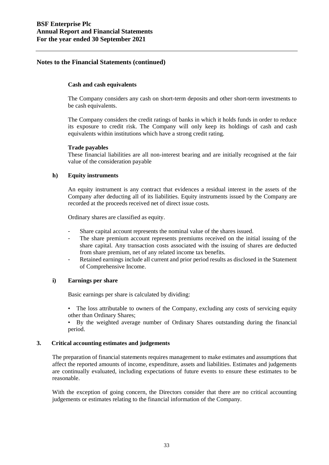#### **Cash and cash equivalents**

The Company considers any cash on short-term deposits and other short-term investments to be cash equivalents.

The Company considers the credit ratings of banks in which it holds funds in order to reduce its exposure to credit risk. The Company will only keep its holdings of cash and cash equivalents within institutions which have a strong credit rating.

#### **Trade payables**

These financial liabilities are all non-interest bearing and are initially recognised at the fair value of the consideration payable

#### **h) Equity instruments**

An equity instrument is any contract that evidences a residual interest in the assets of the Company after deducting all of its liabilities. Equity instruments issued by the Company are recorded at the proceeds received net of direct issue costs.

Ordinary shares are classified as equity.

- Share capital account represents the nominal value of the shares issued.
- The share premium account represents premiums received on the initial issuing of the share capital. Any transaction costs associated with the issuing of shares are deducted from share premium, net of any related income tax benefits.
- Retained earnings include all current and prior period results as disclosed in the Statement of Comprehensive Income.

#### **i) Earnings per share**

Basic earnings per share is calculated by dividing:

• The loss attributable to owners of the Company, excluding any costs of servicing equity other than Ordinary Shares;

• By the weighted average number of Ordinary Shares outstanding during the financial period.

#### **3. Critical accounting estimates and judgements**

The preparation of financial statements requires management to make estimates and assumptions that affect the reported amounts of income, expenditure, assets and liabilities. Estimates and judgements are continually evaluated, including expectations of future events to ensure these estimates to be reasonable.

With the exception of going concern, the Directors consider that there are no critical accounting judgements or estimates relating to the financial information of the Company.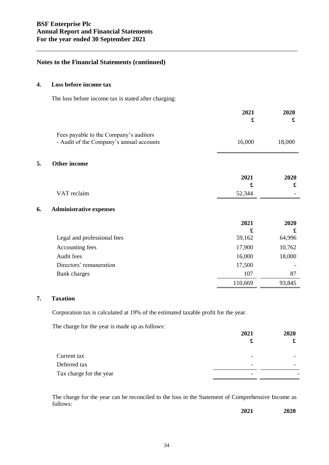#### **4. Loss before income tax**

The loss before income tax is stated after charging:

|    |                                                                                    | 2021<br>£ | 2020<br>£ |
|----|------------------------------------------------------------------------------------|-----------|-----------|
|    | Fees payable to the Company's auditors<br>- Audit of the Company's annual accounts | 16,000    | 18,000    |
| 5. | <b>Other income</b>                                                                |           |           |
|    |                                                                                    | 2021      | 2020      |
|    |                                                                                    | £         | £         |
|    | VAT reclaim                                                                        | 52,344    |           |
| 6. | <b>Administrative expenses</b>                                                     |           |           |
|    |                                                                                    | 2021      | 2020      |
|    |                                                                                    | £         | £         |
|    | Legal and professional fees                                                        | 59,162    | 64,996    |
|    | Accounting fees                                                                    | 17,900    | 10,762    |
|    | Audit fees                                                                         | 16,000    | 18,000    |
|    | Directors' remuneration                                                            | 17,500    |           |
|    | Bank charges                                                                       | 107       | 87        |
|    |                                                                                    | 110,669   | 93,845    |
|    |                                                                                    |           |           |

#### **7. Taxation**

Corporation tax is calculated at 19% of the estimated taxable profit for the year.

The charge for the year is made up as follows:

|                         | 2021 | 2020 |
|-------------------------|------|------|
|                         | £    |      |
| Current tax             |      |      |
| Deferred tax            |      |      |
| Tax charge for the year |      | -    |

The charge for the year can be reconciled to the loss in the Statement of Comprehensive Income as follows:

**2021 2020**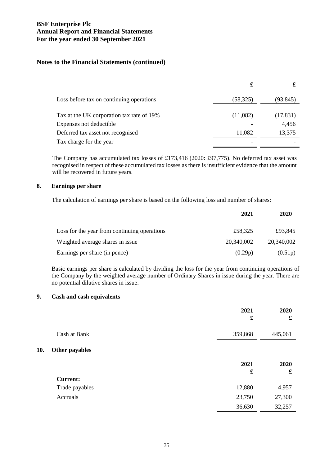|                                           | £         |           |
|-------------------------------------------|-----------|-----------|
| Loss before tax on continuing operations  | (58, 325) | (93, 845) |
| Tax at the UK corporation tax rate of 19% | (11,082)  | (17, 831) |
| Expenses not deductible                   |           | 4,456     |
| Deferred tax asset not recognised         | 11,082    | 13,375    |
| Tax charge for the year                   |           |           |

The Company has accumulated tax losses of £173,416 (2020: £97,775). No deferred tax asset was recognised in respect of these accumulated tax losses as there is insufficient evidence that the amount will be recovered in future years.

#### **8. Earnings per share**

The calculation of earnings per share is based on the following loss and number of shares:

|                                              | 2021       | 2020       |
|----------------------------------------------|------------|------------|
| Loss for the year from continuing operations | £58,325    | £93,845    |
| Weighted average shares in issue.            | 20,340,002 | 20,340,002 |
| Earnings per share (in pence)                | (0.29p)    | (0.51p)    |

Basic earnings per share is calculated by dividing the loss for the year from continuing operations of the Company by the weighted average number of Ordinary Shares in issue during the year. There are no potential dilutive shares in issue.

#### **9. Cash and cash equivalents**

|                       | 2021<br>£ | 2020<br>£ |
|-----------------------|-----------|-----------|
| Cash at Bank          | 359,868   | 445,061   |
| 10.<br>Other payables |           |           |
|                       | 2021<br>£ | 2020<br>£ |
| <b>Current:</b>       |           |           |
| Trade payables        | 12,880    | 4,957     |
| Accruals              | 23,750    | 27,300    |
|                       | 36,630    | 32,257    |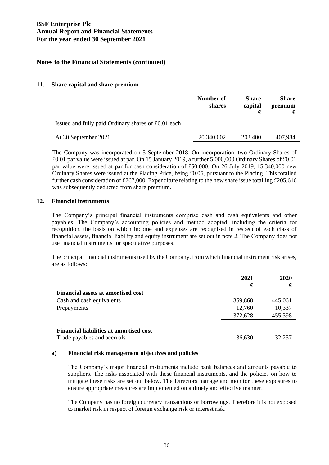#### **11. Share capital and share premium**

|                                                     | Number of<br>shares | <b>Share</b><br>capital | <b>Share</b><br>premium |
|-----------------------------------------------------|---------------------|-------------------------|-------------------------|
| Issued and fully paid Ordinary shares of £0.01 each |                     |                         |                         |
| At 30 September 2021                                | 20,340,002          | 203,400                 | 407,984                 |

The Company was incorporated on 5 September 2018. On incorporation, two Ordinary Shares of £0.01 par value were issued at par. On 15 January 2019, a further 5,000,000 Ordinary Shares of £0.01 par value were issued at par for cash consideration of £50,000. On 26 July 2019, 15,340,000 new Ordinary Shares were issued at the Placing Price, being £0.05, pursuant to the Placing. This totalled further cash consideration of £767,000. Expenditure relating to the new share issue totalling £205,616 was subsequently deducted from share premium.

#### **12. Financial instruments**

The Company's principal financial instruments comprise cash and cash equivalents and other payables. The Company's accounting policies and method adopted, including the criteria for recognition, the basis on which income and expenses are recognised in respect of each class of financial assets, financial liability and equity instrument are set out in note 2. The Company does not use financial instruments for speculative purposes.

The principal financial instruments used by the Company, from which financial instrument risk arises, are as follows:

|                                                | 2021    | 2020    |
|------------------------------------------------|---------|---------|
|                                                | £       | £       |
| <b>Financial assets at amortised cost</b>      |         |         |
| Cash and cash equivalents                      | 359,868 | 445,061 |
| Prepayments                                    | 12,760  | 10,337  |
|                                                | 372,628 | 455,398 |
| <b>Financial liabilities at amortised cost</b> |         |         |
| Trade payables and accruals                    | 36,630  | 32,257  |

#### **a) Financial risk management objectives and policies**

The Company's major financial instruments include bank balances and amounts payable to suppliers. The risks associated with these financial instruments, and the policies on how to mitigate these risks are set out below. The Directors manage and monitor these exposures to ensure appropriate measures are implemented on a timely and effective manner.

The Company has no foreign currency transactions or borrowings. Therefore it is not exposed to market risk in respect of foreign exchange risk or interest risk.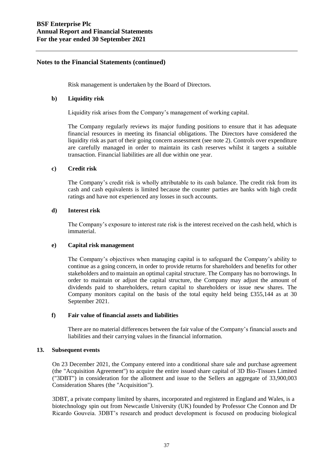Risk management is undertaken by the Board of Directors.

#### **b) Liquidity risk**

Liquidity risk arises from the Company's management of working capital.

The Company regularly reviews its major funding positions to ensure that it has adequate financial resources in meeting its financial obligations. The Directors have considered the liquidity risk as part of their going concern assessment (see note 2). Controls over expenditure are carefully managed in order to maintain its cash reserves whilst it targets a suitable transaction. Financial liabilities are all due within one year.

#### **c) Credit risk**

The Company's credit risk is wholly attributable to its cash balance. The credit risk from its cash and cash equivalents is limited because the counter parties are banks with high credit ratings and have not experienced any losses in such accounts.

#### **d) Interest risk**

The Company's exposure to interest rate risk is the interest received on the cash held, which is immaterial.

#### **e) Capital risk management**

The Company's objectives when managing capital is to safeguard the Company's ability to continue as a going concern, in order to provide returns for shareholders and benefits for other stakeholders and to maintain an optimal capital structure. The Company has no borrowings. In order to maintain or adjust the capital structure, the Company may adjust the amount of dividends paid to shareholders, return capital to shareholders or issue new shares. The Company monitors capital on the basis of the total equity held being £355,144 as at 30 September 2021.

#### **f) Fair value of financial assets and liabilities**

There are no material differences between the fair value of the Company's financial assets and liabilities and their carrying values in the financial information.

#### **13. Subsequent events**

On 23 December 2021, the Company entered into a conditional share sale and purchase agreement (the "Acquisition Agreement") to acquire the entire issued share capital of 3D Bio-Tissues Limited ("3DBT") in consideration for the allotment and issue to the Sellers an aggregate of 33,900,003 Consideration Shares (the "Acquisition").

3DBT, a private company limited by shares, incorporated and registered in England and Wales, is a biotechnology spin out from Newcastle University (UK) founded by Professor Che Connon and Dr Ricardo Gouveia. 3DBT's research and product development is focused on producing biological